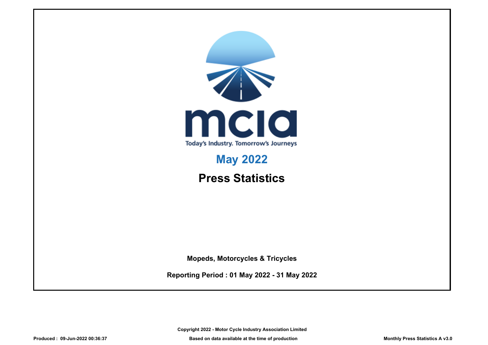

# **May 2022**

## **Press Statistics**

**Mopeds, Motorcycles & Tricycles**

**Reporting Period : 01 May 2022 - 31 May 2022**

**Copyright 2022 - Motor Cycle Industry Association Limited**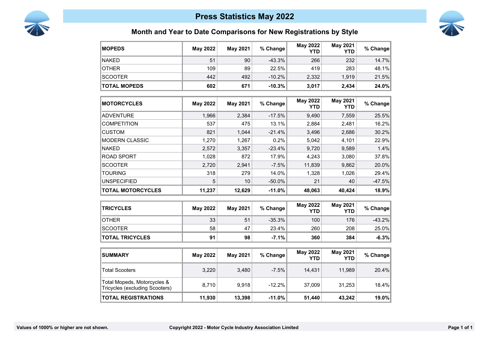



## **Month and Year to Date Comparisons for New Registrations by Style**

| <b>MOPEDS</b>                                                 | <b>May 2022</b> | <b>May 2021</b> | % Change | <b>May 2022</b><br><b>YTD</b> | <b>May 2021</b><br>YTD        | % Change |
|---------------------------------------------------------------|-----------------|-----------------|----------|-------------------------------|-------------------------------|----------|
| <b>NAKED</b>                                                  | 51              | 90              | $-43.3%$ | 266                           | 232                           | 14.7%    |
| <b>OTHER</b>                                                  | 109             | 89              | 22.5%    | 419                           | 283                           | 48.1%    |
| <b>SCOOTER</b>                                                | 442             | 492             | $-10.2%$ | 2,332                         | 1,919                         | 21.5%    |
| <b>TOTAL MOPEDS</b>                                           | 602             | 671             | $-10.3%$ | 3,017                         | 2,434                         | 24.0%    |
| <b>MOTORCYCLES</b>                                            | <b>May 2022</b> | <b>May 2021</b> | % Change | <b>May 2022</b><br><b>YTD</b> | <b>May 2021</b><br><b>YTD</b> | % Change |
| <b>ADVENTURE</b>                                              | 1,966           | 2,384           | $-17.5%$ | 9,490                         | 7,559                         | 25.5%    |
| <b>COMPETITION</b>                                            | 537             | 475             | 13.1%    | 2,884                         | 2,481                         | 16.2%    |
| <b>CUSTOM</b>                                                 | 821             | 1,044           | $-21.4%$ | 3,496                         | 2,686                         | 30.2%    |
| <b>MODERN CLASSIC</b>                                         | 1,270           | 1,267           | 0.2%     | 5,042                         | 4,101                         | 22.9%    |
| <b>NAKED</b>                                                  | 2,572           | 3,357           | $-23.4%$ | 9,720                         | 9,589                         | 1.4%     |
| <b>ROAD SPORT</b>                                             | 1,028           | 872             | 17.9%    | 4,243                         | 3,080                         | 37.8%    |
| <b>SCOOTER</b>                                                | 2,720           | 2,941           | $-7.5%$  | 11,839                        | 9,862                         | 20.0%    |
| TOURING                                                       | 318             | 279             | 14.0%    | 1,328                         | 1,026                         | 29.4%    |
| <b>UNSPECIFIED</b>                                            | 5               | 10              | $-50.0%$ | 21                            | 40                            | $-47.5%$ |
| <b>TOTAL MOTORCYCLES</b>                                      | 11,237          | 12,629          | $-11.0%$ | 48,063                        | 40,424                        | 18.9%    |
| <b>TRICYCLES</b>                                              | <b>May 2022</b> | <b>May 2021</b> | % Change | <b>May 2022</b><br><b>YTD</b> | <b>May 2021</b><br><b>YTD</b> | % Change |
| <b>OTHER</b>                                                  | 33              | 51              | $-35.3%$ | 100                           | 176                           | $-43.2%$ |
| <b>SCOOTER</b>                                                | 58              | 47              | 23.4%    | 260                           | 208                           | 25.0%    |
| <b>TOTAL TRICYCLES</b>                                        | 91              | 98              | $-7.1%$  | 360                           | 384                           | $-6.3%$  |
| <b>SUMMARY</b>                                                | <b>May 2022</b> | <b>May 2021</b> | % Change | May 2022<br><b>YTD</b>        | <b>May 2021</b><br>YTD        | % Change |
| <b>Total Scooters</b>                                         | 3,220           | 3,480           | $-7.5%$  | 14,431                        | 11,989                        | 20.4%    |
| Total Mopeds, Motorcycles &<br>Tricycles (excluding Scooters) | 8,710           | 9,918           | $-12.2%$ | 37,009                        | 31,253                        | 18.4%    |
| <b>TOTAL REGISTRATIONS</b>                                    | 11,930          | 13,398          | $-11.0%$ | 51.440                        | 43,242                        | 19.0%    |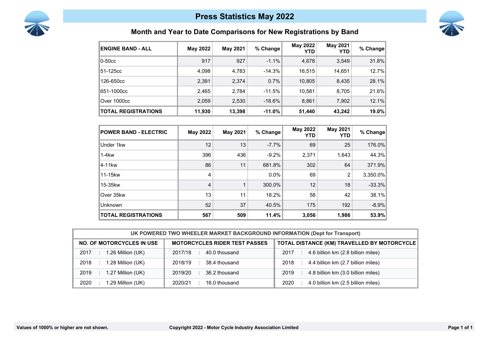





## **Month and Year to Date Comparisons for New Registrations by Band**

| <b>ENGINE BAND - ALL</b>   | <b>May 2022</b> | <b>May 2021</b> | % Change  | <b>May 2022</b><br>YTD | May 2021<br>YTD | % Change |
|----------------------------|-----------------|-----------------|-----------|------------------------|-----------------|----------|
| $ 0\text{-}50\mathrm{cc} $ | 917             | 927             | $-1.1\%$  | 4,678                  | 3,549           | 31.8%    |
| 51-125cc                   | 4,098           | 4,783           | $-14.3\%$ | 16,515                 | 14,651          | 12.7%    |
| 126-650cc                  | 2,391           | 2,374           | 0.7%      | 10,805                 | 8,435           | 28.1%    |
| 651-1000cc                 | 2.465           | 2,784           | $-11.5%$  | 10,581                 | 8,705           | 21.6%    |
| Over 1000cc                | 2.059           | 2,530           | $-18.6\%$ | 8,861                  | 7,902           | 12.1%    |
| <b>TOTAL REGISTRATIONS</b> | 11,930          | 13,398          | $-11.0\%$ | 51,440                 | 43,242          | 19.0%    |

| <b>POWER BAND - ELECTRIC</b> | <b>May 2022</b> | <b>May 2021</b> | % Change | <b>May 2022</b><br><b>YTD</b> | <b>May 2021</b><br><b>YTD</b> | % Change |
|------------------------------|-----------------|-----------------|----------|-------------------------------|-------------------------------|----------|
| Under 1kw                    | 12              | 13              | $-7.7%$  | 69                            | 25                            | 176.0%   |
| $1-4kw$                      | 396             | 436             | $-9.2%$  | 2,371                         | 1,643                         | 44.3%    |
| 4-11kw                       | 86              | 11              | 681.8%   | 302                           | 64                            | 371.9%   |
| 11-15kw                      | 4               |                 | $0.0\%$  | 69                            | $\overline{2}$                | 3,350.0% |
| 15-35kw                      | 4               |                 | 300.0%   | 12                            | 18                            | $-33.3%$ |
| Over 35kw                    | 13              | 11              | 18.2%    | 58                            | 42                            | 38.1%    |
| Unknown                      | 52              | 37              | 40.5%    | 175                           | 192                           | $-8.9%$  |
| <b>TOTAL REGISTRATIONS</b>   | 567             | 509             | 11.4%    | 3,056                         | 1,986                         | 53.9%    |

| UK POWERED TWO WHEELER MARKET BACKGROUND INFORMATION (Dept for Transport) |                                      |                                                              |  |  |  |
|---------------------------------------------------------------------------|--------------------------------------|--------------------------------------------------------------|--|--|--|
| <b>NO. OF MOTORCYCLES IN USE</b>                                          | <b>MOTORCYCLES RIDER TEST PASSES</b> | TOTAL DISTANCE (KM) TRAVELLED BY MOTORCYCLE                  |  |  |  |
| 1.26 Million (UK)<br>2017                                                 | 40.0 thousand<br>2017/18             | 4.6 billion km (2.8 billion miles)<br>2017<br>$\mathbb{R}^n$ |  |  |  |
| 1.28 Million (UK)<br>2018                                                 | 38.4 thousand<br>2018/19             | $\therefore$ 4.4 billion km (2.7 billion miles)<br>2018      |  |  |  |
| 1.27 Million (UK)<br>2019                                                 | 36.2 thousand<br>2019/20             | 4.8 billion km (3.0 billion miles)<br>2019<br>$\mathbb{R}^n$ |  |  |  |
| 1.29 Million (UK)<br>2020                                                 | 2020/21<br>16.0 thousand             | 4.0 billion km (2.5 billion miles)<br>2020                   |  |  |  |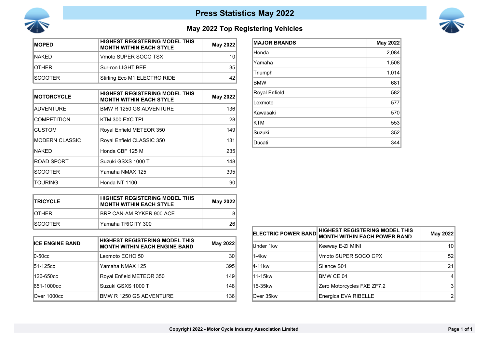



## **May 2022 Top Registering Vehicles**

| <b>IMOPED</b>   | <b>HIGHEST REGISTERING MODEL THIS</b><br><b>MONTH WITHIN EACH STYLE</b> | <b>May 2022</b> |
|-----------------|-------------------------------------------------------------------------|-----------------|
| <b>NAKED</b>    | Vmoto SUPER SOCO TSX                                                    | 10              |
| IOTHFR          | Sur-ron LIGHT BEE                                                       | 35 <sub>1</sub> |
| <b>ISCOOTER</b> | Stirling Eco M1 ELECTRO RIDE                                            | 42              |

| <b>HIGHEST REGISTERING MODEL THIS</b><br><b>MOTORCYCLE</b><br><b>MONTH WITHIN EACH STYLE</b> | May 2022 |
|----------------------------------------------------------------------------------------------|----------|
| <b>ADVENTURE</b><br>BMW R 1250 GS ADVENTURE                                                  | 136      |
| <b>COMPETITION</b><br>KTM 300 EXC TPI                                                        | 28       |
| <b>CUSTOM</b><br>Royal Enfield METEOR 350                                                    | 149      |
| <b>IMODERN CLASSIC</b><br>Royal Enfield CLASSIC 350                                          | 131      |
| <b>NAKED</b><br>Honda CBF 125 M                                                              | 235      |
| ROAD SPORT<br>Suzuki GSXS 1000 T                                                             | 148      |
| <b>SCOOTER</b><br>Yamaha NMAX 125                                                            | 395      |
| TOURING<br>Honda NT 1100                                                                     | 90       |

| <b>MAJOR BRANDS</b> | May 2022 |
|---------------------|----------|
| Honda               | 2,084    |
| Yamaha              | 1,508    |
| Triumph             | 1,014    |
| <b>BMW</b>          | 681      |
| Royal Enfield       | 582      |
| Lexmoto             | 577      |
| Kawasaki            | 570      |
| <b>KTM</b>          | 553      |
| Suzuki              | 352      |
| Ducati              | 344      |

| <b>ITRICYCLE</b> | <b>HIGHEST REGISTERING MODEL THIS</b><br><b>MONTH WITHIN EACH STYLE</b> | <b>May 2022</b> |
|------------------|-------------------------------------------------------------------------|-----------------|
| IOTHFR           | BRP CAN-AM RYKER 900 ACE                                                | 8               |
| <b>ISCOOTFR</b>  | Yamaha TRICITY 300                                                      | 26              |

| <b>ICE ENGINE BAND</b>            | <b>HIGHEST REGISTERING MODEL THIS</b><br><b>MONTH WITHIN EACH ENGINE BAND</b> | May 2022        |
|-----------------------------------|-------------------------------------------------------------------------------|-----------------|
| $\overline{0}$ -50 $\overline{c}$ | Lexmoto ECHO 50                                                               | 30 <sup>1</sup> |
| 51-125cc                          | Yamaha NMAX 125                                                               | 395             |
| 126-650cc                         | Royal Enfield METEOR 350                                                      | 149             |
| 651-1000cc                        | Suzuki GSXS 1000 T                                                            | 148             |
| Over 1000cc                       | BMW R 1250 GS ADVENTURE                                                       | 136             |

| <b>ELECTRIC POWER BAND</b> | HIGHEST REGISTERING MODEL THIS<br><b>MONTH WITHIN EACH POWER BAND</b> | May 2022 |
|----------------------------|-----------------------------------------------------------------------|----------|
| Under 1kw                  | Keeway E-ZI MINI                                                      | 10       |
| 1-4kw                      | Vmoto SUPER SOCO CPX                                                  | 52       |
| 4-11 <sub>kw</sub>         | Silence S01                                                           | 21       |
| l11-15kw                   | BMW CE 04                                                             |          |
| l15-35kw                   | Zero Motorcycles FXE ZF7.2                                            | 3        |
| Over 35kw                  | Energica EVA RIBELLE                                                  |          |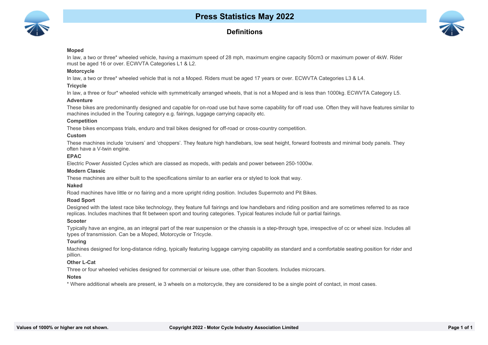

### **Definitions**



#### **Moped**

In law, a two or three\* wheeled vehicle, having a maximum speed of 28 mph, maximum engine capacity 50cm3 or maximum power of 4kW. Rider must be aged 16 or over. ECWVTA Categories L1 & L2.

#### **Motorcycle**

In law, a two or three\* wheeled vehicle that is not a Moped. Riders must be aged 17 years or over. ECWVTA Categories L3 & L4.

#### **Tricycle**

In law, a three or four\* wheeled vehicle with symmetrically arranged wheels, that is not a Moped and is less than 1000kg. ECWVTA Category L5.

#### **Adventure**

These bikes are predominantly designed and capable for on-road use but have some capability for off road use. Often they will have features similar to machines included in the Touring category e.g. fairings, luggage carrying capacity etc.

#### **Competition**

These bikes encompass trials, enduro and trail bikes designed for off-road or cross-country competition.

#### **Custom**

These machines include 'cruisers' and 'choppers'. They feature high handlebars, low seat height, forward footrests and minimal body panels. They often have a V-twin engine.

#### **EPAC**

Electric Power Assisted Cycles which are classed as mopeds, with pedals and power between 250-1000w.

#### **Modern Classic**

These machines are either built to the specifications similar to an earlier era or styled to look that way.

#### **Naked**

Road machines have little or no fairing and a more upright riding position. Includes Supermoto and Pit Bikes.

#### **10 Road Sport**

Designed with the latest race bike technology, they feature full fairings and low handlebars and riding position and are sometimes referred to as race replicas. Includes machines that fit between sport and touring categories. Typical features include full or partial fairings.

#### **11 Scooter**

Typically have an engine, as an integral part of the rear suspension or the chassis is a step-through type, irrespective of cc or wheel size. Includes all types of transmission. Can be a Moped, Motorcycle or Tricycle.

#### **12 Touring**

Machines designed for long-distance riding, typically featuring luggage carrying capability as standard and a comfortable seating position for rider and pillion.

#### **13 Other L-Cat**

Three or four wheeled vehicles designed for commercial or leisure use, other than Scooters. Includes microcars.

#### **14 Notes**

\* Where additional wheels are present, ie 3 wheels on a motorcycle, they are considered to be a single point of contact, in most cases.